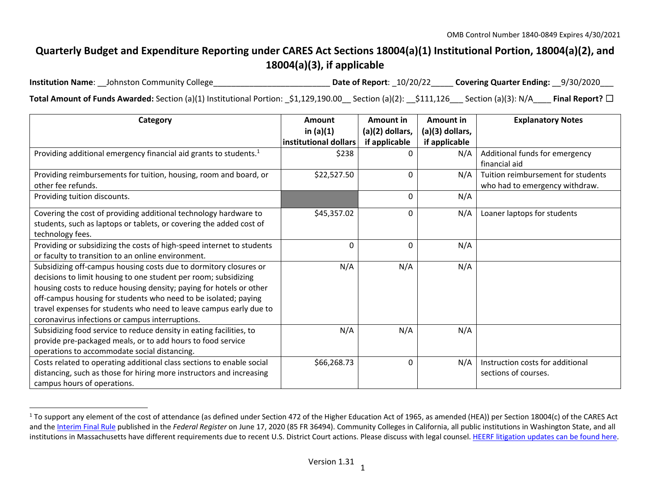# **Quarterly Budget and Expenditure Reporting under CARES Act Sections 18004(a)(1) Institutional Portion, 18004(a)(2), and 18004(a)(3), if applicable**

**Institution Name**: Date of Report:  $10/20/22$  Covering Quarter Ending:  $9/30/2020$ **Total Amount of Funds Awarded:** Section (a)(1) Institutional Portion: \_\$1,129,190.00\_\_ Section (a)(2): \_\_\$111,126\_\_\_ Section (a)(3): N/A\_\_\_\_ **Final Report?** ☐

| Category                                                                                                                                                                                                                                                                                                                                                                                                | Amount<br>in $(a)(1)$ | Amount in<br>(a)(2) dollars, | Amount in<br>(a)(3) dollars, | <b>Explanatory Notes</b>                                             |
|---------------------------------------------------------------------------------------------------------------------------------------------------------------------------------------------------------------------------------------------------------------------------------------------------------------------------------------------------------------------------------------------------------|-----------------------|------------------------------|------------------------------|----------------------------------------------------------------------|
|                                                                                                                                                                                                                                                                                                                                                                                                         | institutional dollars | if applicable                | if applicable                |                                                                      |
| Providing additional emergency financial aid grants to students. <sup>1</sup>                                                                                                                                                                                                                                                                                                                           | \$238                 |                              | N/A                          | Additional funds for emergency<br>financial aid                      |
| Providing reimbursements for tuition, housing, room and board, or<br>other fee refunds.                                                                                                                                                                                                                                                                                                                 | \$22,527.50           | $\mathbf{0}$                 | N/A                          | Tuition reimbursement for students<br>who had to emergency withdraw. |
| Providing tuition discounts.                                                                                                                                                                                                                                                                                                                                                                            |                       | 0                            | N/A                          |                                                                      |
| Covering the cost of providing additional technology hardware to<br>students, such as laptops or tablets, or covering the added cost of<br>technology fees.                                                                                                                                                                                                                                             | \$45,357.02           | 0                            | N/A                          | Loaner laptops for students                                          |
| Providing or subsidizing the costs of high-speed internet to students<br>or faculty to transition to an online environment.                                                                                                                                                                                                                                                                             | $\mathbf{0}$          | 0                            | N/A                          |                                                                      |
| Subsidizing off-campus housing costs due to dormitory closures or<br>decisions to limit housing to one student per room; subsidizing<br>housing costs to reduce housing density; paying for hotels or other<br>off-campus housing for students who need to be isolated; paying<br>travel expenses for students who need to leave campus early due to<br>coronavirus infections or campus interruptions. | N/A                   | N/A                          | N/A                          |                                                                      |
| Subsidizing food service to reduce density in eating facilities, to<br>provide pre-packaged meals, or to add hours to food service<br>operations to accommodate social distancing.                                                                                                                                                                                                                      | N/A                   | N/A                          | N/A                          |                                                                      |
| Costs related to operating additional class sections to enable social<br>distancing, such as those for hiring more instructors and increasing<br>campus hours of operations.                                                                                                                                                                                                                            | \$66,268.73           | 0                            | N/A                          | Instruction costs for additional<br>sections of courses.             |

<sup>&</sup>lt;sup>1</sup> To support any element of the cost of attendance (as defined under Section 472 of the Higher Education Act of 1965, as amended (HEA)) per Section 18004(c) of the CARES Act and the Interim Final Rule published in the *Federal Register* on June 17, 2020 (85 FR 36494). Community Colleges in California, all public institutions in Washington State, and all institutions in Massachusetts have different requirements due to recent U.S. District Court actions. Please discuss with legal counsel. HEERF litigation updates can be found here.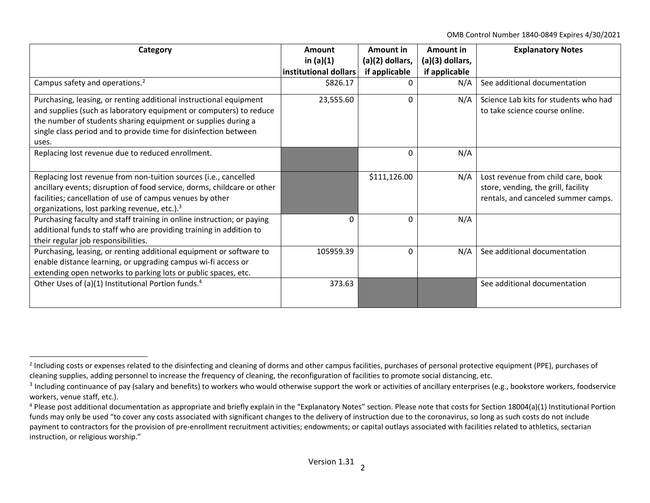OMB Control Number 1840‐0849 Expires 4/30/2021

| Category                                                                | Amount                | Amount in         | Amount in       | <b>Explanatory Notes</b>              |
|-------------------------------------------------------------------------|-----------------------|-------------------|-----------------|---------------------------------------|
|                                                                         | in $(a)(1)$           | $(a)(2)$ dollars, | (a)(3) dollars, |                                       |
|                                                                         | institutional dollars | if applicable     | if applicable   |                                       |
| Campus safety and operations. <sup>2</sup>                              | \$826.17              |                   | N/A             | See additional documentation          |
| Purchasing, leasing, or renting additional instructional equipment      | 23,555.60             | $\Omega$          | N/A             | Science Lab kits for students who had |
| and supplies (such as laboratory equipment or computers) to reduce      |                       |                   |                 | to take science course online.        |
| the number of students sharing equipment or supplies during a           |                       |                   |                 |                                       |
| single class period and to provide time for disinfection between        |                       |                   |                 |                                       |
| uses.                                                                   |                       |                   |                 |                                       |
| Replacing lost revenue due to reduced enrollment.                       |                       | 0                 | N/A             |                                       |
|                                                                         |                       |                   |                 |                                       |
| Replacing lost revenue from non-tuition sources (i.e., cancelled        |                       | \$111,126.00      | N/A             | Lost revenue from child care, book    |
| ancillary events; disruption of food service, dorms, childcare or other |                       |                   |                 | store, vending, the grill, facility   |
| facilities; cancellation of use of campus venues by other               |                       |                   |                 | rentals, and canceled summer camps.   |
| organizations, lost parking revenue, etc.). <sup>3</sup>                |                       |                   |                 |                                       |
| Purchasing faculty and staff training in online instruction; or paying  | $\Omega$              | 0                 | N/A             |                                       |
| additional funds to staff who are providing training in addition to     |                       |                   |                 |                                       |
| their regular job responsibilities.                                     |                       |                   |                 |                                       |
| Purchasing, leasing, or renting additional equipment or software to     | 105959.39             | 0                 | N/A             | See additional documentation          |
| enable distance learning, or upgrading campus wi-fi access or           |                       |                   |                 |                                       |
| extending open networks to parking lots or public spaces, etc.          |                       |                   |                 |                                       |
| Other Uses of (a)(1) Institutional Portion funds. <sup>4</sup>          | 373.63                |                   |                 | See additional documentation          |
|                                                                         |                       |                   |                 |                                       |
|                                                                         |                       |                   |                 |                                       |

<sup>&</sup>lt;sup>2</sup> Including costs or expenses related to the disinfecting and cleaning of dorms and other campus facilities, purchases of personal protective equipment (PPE), purchases of cleaning supplies, adding personnel to increase the frequency of cleaning, the reconfiguration of facilities to promote social distancing, etc.

<sup>&</sup>lt;sup>3</sup> Including continuance of pay (salary and benefits) to workers who would otherwise support the work or activities of ancillary enterprises (e.g., bookstore workers, foodservice workers, venue staff, etc.).

<sup>&</sup>lt;sup>4</sup> Please post additional documentation as appropriate and briefly explain in the "Explanatory Notes" section. Please note that costs for Section 18004(a)(1) Institutional Portion funds may only be used "to cover any costs associated with significant changes to the delivery of instruction due to the coronavirus, so long as such costs do not include payment to contractors for the provision of pre-enrollment recruitment activities; endowments; or capital outlays associated with facilities related to athletics, sectarian instruction, or religious worship."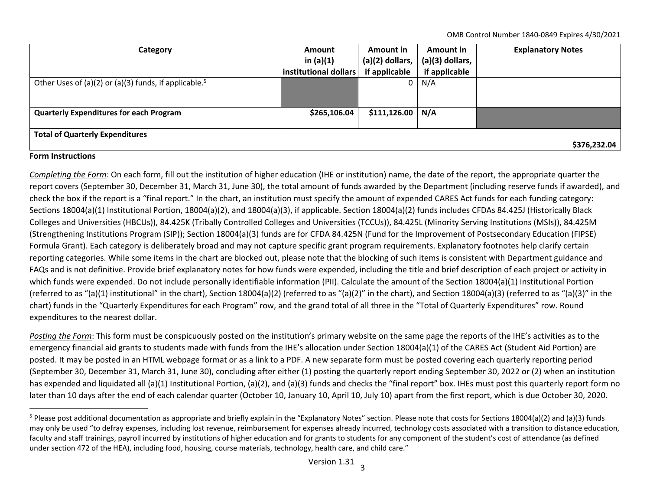OMB Control Number 1840‐0849 Expires 4/30/2021

| Category                                                          | <b>Amount</b><br>in $(a)(1)$ | Amount in<br>$(a)(2)$ dollars, | Amount in<br>$(a)(3)$ dollars, | <b>Explanatory Notes</b> |
|-------------------------------------------------------------------|------------------------------|--------------------------------|--------------------------------|--------------------------|
|                                                                   | institutional dollars        | if applicable                  | if applicable                  |                          |
| Other Uses of (a)(2) or (a)(3) funds, if applicable. <sup>5</sup> |                              | 0 <sup>1</sup>                 | N/A                            |                          |
|                                                                   |                              |                                |                                |                          |
| <b>Quarterly Expenditures for each Program</b>                    | \$265,106.04                 | $$111,126.00$ N/A              |                                |                          |
|                                                                   |                              |                                |                                |                          |
| <b>Total of Quarterly Expenditures</b>                            |                              |                                |                                | \$376,232.04             |

## **Form Instructions**

*Completing the Form*: On each form, fill out the institution of higher education (IHE or institution) name, the date of the report, the appropriate quarter the report covers (September 30, December 31, March 31, June 30), the total amount of funds awarded by the Department (including reserve funds if awarded), and check the box if the report is <sup>a</sup> "final report." In the chart, an institution must specify the amount of expended CARES Act funds for each funding category: Sections 18004(a)(1) Institutional Portion, 18004(a)(2), and 18004(a)(3), if applicable. Section 18004(a)(2) funds includes CFDAs 84.425J (Historically Black Colleges and Universities (HBCUs)), 84.425K (Tribally Controlled Colleges and Universities (TCCUs)), 84.425L (Minority Serving Institutions (MSIs)), 84.425M (Strengthening Institutions Program (SIP)); Section 18004(a)(3) funds are for CFDA 84.425N (Fund for the Improvement of Postsecondary Education (FIPSE) Formula Grant). Each category is deliberately broad and may not capture specific grant program requirements. Explanatory footnotes help clarify certain reporting categories. While some items in the chart are blocked out, please note that the blocking of such items is consistent with Department guidance and FAQs and is not definitive. Provide brief explanatory notes for how funds were expended, including the title and brief description of each project or activity in which funds were expended. Do not include personally identifiable information (PII). Calculate the amount of the Section 18004(a)(1) Institutional Portion (referred to as "(a)(1) institutional" in the chart), Section 18004(a)(2) (referred to as "(a)(2)" in the chart), and Section 18004(a)(3) (referred to as "(a)(3)" in the chart) funds in the "Quarterly Expenditures for each Program" row, and the grand total of all three in the "Total of Quarterly Expenditures" row. Round expenditures to the nearest dollar.

*Posting the Form*: This form must be conspicuously posted on the institution's primary website on the same page the reports of the IHE's activities as to the emergency financial aid grants to students made with funds from the IHE's allocation under Section 18004(a)(1) of the CARES Act (Student Aid Portion) are posted. It may be posted in an HTML webpage format or as <sup>a</sup> link to <sup>a</sup> PDF. A new separate form must be posted covering each quarterly reporting period (September 30, December 31, March 31, June 30), concluding after either (1) posting the quarterly report ending September 30, 2022 or (2) when an institution has expended and liquidated all (a)(1) Institutional Portion, (a)(2), and (a)(3) funds and checks the "final report" box. IHEs must post this quarterly report form no later than 10 days after the end of each calendar quarter (October 10, January 10, April 10, July 10) apart from the first report, which is due October 30, 2020.

<sup>&</sup>lt;sup>5</sup> Please post additional documentation as appropriate and briefly explain in the "Explanatory Notes" section. Please note that costs for Sections 18004(a)(2) and (a)(3) funds may only be used "to defray expenses, including lost revenue, reimbursement for expenses already incurred, technology costs associated with <sup>a</sup> transition to distance education, faculty and staff trainings, payroll incurred by institutions of higher education and for grants to students for any component of the student's cost of attendance (as defined under section 472 of the HEA), including food, housing, course materials, technology, health care, and child care."